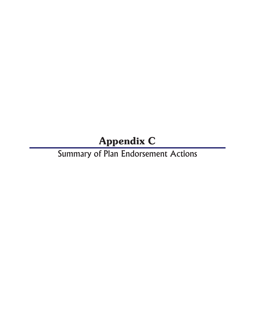## Appendix C

Summary of Plan Endorsement Actions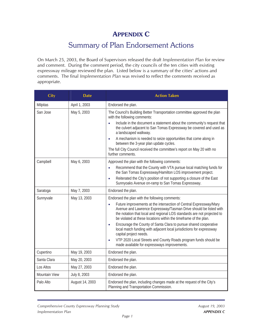## APPENDIX C

## Summary of Plan Endorsement Actions

On March 25, 2003, the Board of Supervisors released the draft *Implementation Plan* for review and comment. During the comment period, the city councils of the ten cities with existing expressway mileage reviewed the plan. Listed below is a summary of the cities' actions and comments. The final *Implementation Plan* was revised to reflect the comments received as appropriate.

| <b>City</b>   | <b>Date</b>     | <b>Action Taken</b>                                                                                                                                                                                                                                                                                 |
|---------------|-----------------|-----------------------------------------------------------------------------------------------------------------------------------------------------------------------------------------------------------------------------------------------------------------------------------------------------|
| Milpitas      | April 1, 2003   | Endorsed the plan.                                                                                                                                                                                                                                                                                  |
| San Jose      | May 5, 2003     | The Council's Building Better Transportation committee approved the plan<br>with the following comments:                                                                                                                                                                                            |
|               |                 | Include in the document a statement about the community's request that<br>the culvert adjacent to San Tomas Expressway be covered and used as<br>a landscaped walkway.                                                                                                                              |
|               |                 | A mechanism is needed to seize opportunities that come along in<br>between the 3-year plan update cycles.                                                                                                                                                                                           |
|               |                 | The full City Council received the committee's report on May 20 with no<br>further comments.                                                                                                                                                                                                        |
| Campbell      | May 6, 2003     | Approved the plan with the following comments:                                                                                                                                                                                                                                                      |
|               |                 | Recommend that the County with VTA pursue local matching funds for<br>$\bullet$<br>the San Tomas Expressway/Hamilton LOS improvement project.                                                                                                                                                       |
|               |                 | Reiterated the City's position of not supporting a closure of the East<br>$\bullet$<br>Sunnyoaks Avenue on-ramp to San Tomas Expressway.                                                                                                                                                            |
| Saratoga      | May 7, 2003     | Endorsed the plan.                                                                                                                                                                                                                                                                                  |
| Sunnyvale     | May 13, 2003    | Endorsed the plan with the following comments:                                                                                                                                                                                                                                                      |
|               |                 | Future improvements at the intersection of Central Expressway/Mary<br>$\bullet$<br>Avenue and Lawrence Expressway/Tasman Drive should be listed with<br>the notation that local and regional LOS standards are not projected to<br>be violated at these locations within the timeframe of the plan. |
|               |                 | Encourage the County of Santa Clara to pursue shared cooperative<br>$\bullet$<br>local match funding with adjacent local jurisdictions for expressway<br>capital project needs.                                                                                                                     |
|               |                 | VTP 2020 Local Streets and County Roads program funds should be<br>made available for expressways improvements.                                                                                                                                                                                     |
| Cupertino     | May 19, 2003    | Endorsed the plan.                                                                                                                                                                                                                                                                                  |
| Santa Clara   | May 20, 2003    | Endorsed the plan.                                                                                                                                                                                                                                                                                  |
| Los Altos     | May 27, 2003    | Endorsed the plan.                                                                                                                                                                                                                                                                                  |
| Mountain View | July 8, 2003    | Endorsed the plan.                                                                                                                                                                                                                                                                                  |
| Palo Alto     | August 14, 2003 | Endorsed the plan, including changes made at the request of the City's<br>Planning and Transportation Commission.                                                                                                                                                                                   |